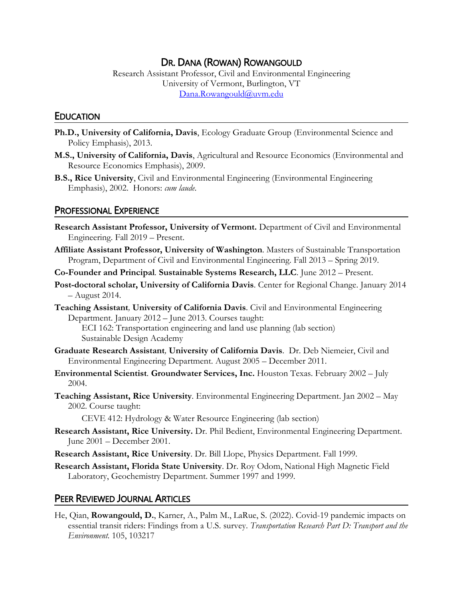# DR. DANA (ROWAN) ROWANGOULD

Research Assistant Professor, Civil and Environmental Engineering University of Vermont, Burlington, VT [Dana.Rowangould@uvm.edu](mailto:Dana.Rowangould@uvm.edu)

### **EDUCATION**

- **Ph.D., University of California, Davis**, Ecology Graduate Group (Environmental Science and Policy Emphasis), 2013.
- **M.S., University of California, Davis**, Agricultural and Resource Economics (Environmental and Resource Economics Emphasis), 2009.
- **B.S., Rice University**, Civil and Environmental Engineering (Environmental Engineering Emphasis), 2002. Honors: *cum laude*.

### PROFESSIONAL EXPERIENCE

- **Research Assistant Professor, University of Vermont.** Department of Civil and Environmental Engineering. Fall 2019 – Present.
- **Affiliate Assistant Professor, University of Washington**. Masters of Sustainable Transportation Program, Department of Civil and Environmental Engineering. Fall 2013 – Spring 2019.
- **Co-Founder and Principal***.* **Sustainable Systems Research, LLC**. June 2012 Present.
- **Post-doctoral scholar, University of California Davis**. Center for Regional Change. January 2014 – August 2014.
- **Teaching Assistant***,* **University of California Davis**. Civil and Environmental Engineering Department. January 2012 – June 2013. Courses taught:

ECI 162: Transportation engineering and land use planning (lab section) Sustainable Design Academy

- **Graduate Research Assistant***,* **University of California Davis**. Dr. Deb Niemeier, Civil and Environmental Engineering Department. August 2005 – December 2011.
- **Environmental Scientist***.* **Groundwater Services, Inc.** Houston Texas. February 2002 July 2004.
- **Teaching Assistant, Rice University**. Environmental Engineering Department. Jan 2002 May 2002. Course taught:

CEVE 412: Hydrology & Water Resource Engineering (lab section)

- **Research Assistant, Rice University.** Dr. Phil Bedient, Environmental Engineering Department. June 2001 – December 2001.
- **Research Assistant, Rice University**. Dr. Bill Llope, Physics Department. Fall 1999.

**Research Assistant, Florida State University**. Dr. Roy Odom, National High Magnetic Field Laboratory, Geochemistry Department. Summer 1997 and 1999.

## PEER REVIEWED JOURNAL ARTICLES

He, Qian, **Rowangould, D.**, Karner, A., Palm M., LaRue, S. (2022). Covid-19 pandemic impacts on essential transit riders: Findings from a U.S. survey. *Transportation Research Part D: Transport and the Environment.* 105, 103217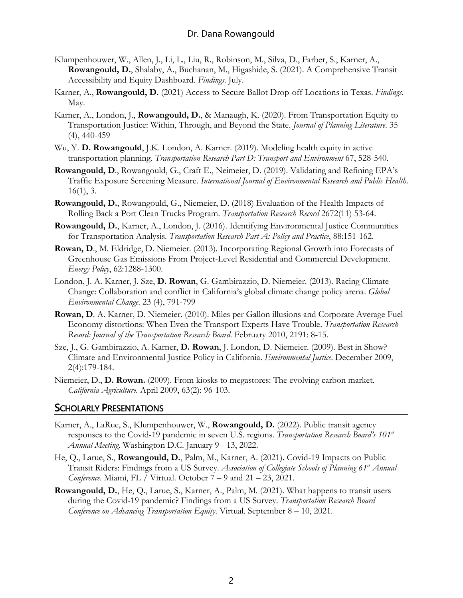- Klumpenhouwer, W., Allen, J., Li, L., Liu, R., Robinson, M., Silva, D., Farber, S., Karner, A., **Rowangould, D.**, Shalaby, A., Buchanan, M., Higashide, S. (2021). A Comprehensive Transit Accessibility and Equity Dashboard. *Findings*. July.
- Karner, A., **Rowangould, D.** (2021) Access to Secure Ballot Drop-off Locations in Texas. *Findings*. May.
- Karner, A., London, J., **Rowangould, D.**, & Manaugh, K. (2020). From Transportation Equity to Transportation Justice: Within, Through, and Beyond the State. *Journal of Planning Literature*. 35 (4), 440-459
- Wu, Y. **D. Rowangould**, J.K. London, A. Karner. (2019). Modeling health equity in active transportation planning. *Transportation Research Part D: Transport and Environment* 67, 528-540.
- **Rowangould, D**., Rowangould, G., Craft E., Neimeier, D. (2019). Validating and Refining EPA's Traffic Exposure Screening Measure. *International Journal of Environmental Research and Public Health*.  $16(1), 3.$
- **Rowangould, D.**, Rowangould, G., Niemeier, D. (2018) Evaluation of the Health Impacts of Rolling Back a Port Clean Trucks Program. *Transportation Research Record* 2672(11) 53-64.
- **Rowangould, D.**, Karner, A., London, J. (2016). Identifying Environmental Justice Communities for Transportation Analysis. *Transportation Research Part A: Policy and Practice*, 88:151-162.
- **Rowan, D**., M. Eldridge, D. Niemeier. (2013). Incorporating Regional Growth into Forecasts of Greenhouse Gas Emissions From Project-Level Residential and Commercial Development. *Energy Policy*, 62:1288-1300.
- London, J. A. Karner, J. Sze, **D. Rowan**, G. Gambirazzio, D. Niemeier. (2013). Racing Climate Change: Collaboration and conflict in California's global climate change policy arena. *Global Environmental Change*. 23 (4), 791-799
- **Rowan, D**. A. Karner, D. Niemeier. (2010). Miles per Gallon illusions and Corporate Average Fuel Economy distortions: When Even the Transport Experts Have Trouble. *Transportation Research Record: Journal of the Transportation Research Board.* February 2010, 2191: 8-15.
- Sze, J., G. Gambirazzio, A. Karner, **D. Rowan**, J. London, D. Niemeier. (2009). Best in Show? Climate and Environmental Justice Policy in California. *Environmental Justice*. December 2009, 2(4):179-184.
- Niemeier, D., **D. Rowan.** (2009). From kiosks to megastores: The evolving carbon market. *California Agriculture*. April 2009, 63(2): 96-103.

## SCHOLARLY PRESENTATIONS

- Karner, A., LaRue, S., Klumpenhouwer, W., **Rowangould, D.** (2022). Public transit agency responses to the Covid-19 pandemic in seven U.S. regions. *Transportation Research Board's 101st Annual Meeting*. Washington D.C. January 9 - 13, 2022.
- He, Q., Larue, S., **Rowangould, D.**, Palm, M., Karner, A. (2021). Covid-19 Impacts on Public Transit Riders: Findings from a US Survey. *Association of Collegiate Schools of Planning 61st Annual Conference*. Miami, FL / Virtual. October 7 – 9 and 21 – 23, 2021.
- **Rowangould, D.**, He, Q., Larue, S., Karner, A., Palm, M. (2021). What happens to transit users during the Covid-19 pandemic? Findings from a US Survey. *Transportation Research Board Conference on Advancing Transportation Equity*. Virtual. September 8 – 10, 2021.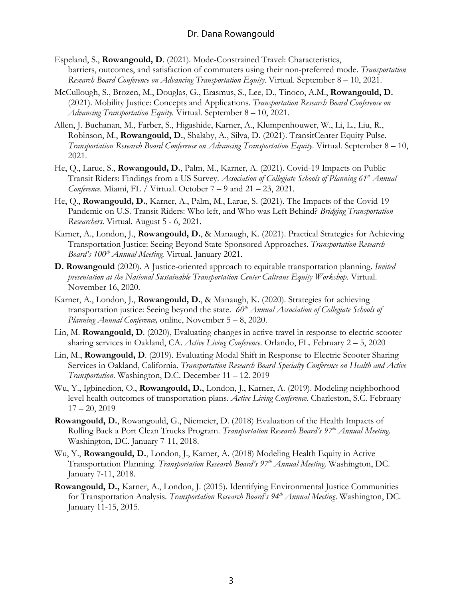- Espeland, S., **Rowangould, D**. (2021). Mode-Constrained Travel: Characteristics, barriers, outcomes, and satisfaction of commuters using their non-preferred mode. *Transportation Research Board Conference on Advancing Transportation Equity*. Virtual. September 8 – 10, 2021.
- McCullough, S., Brozen, M., Douglas, G., Erasmus, S., Lee, D., Tinoco, A.M., **Rowangould, D.** (2021). Mobility Justice: Concepts and Applications. *Transportation Research Board Conference on Advancing Transportation Equity*. Virtual. September 8 – 10, 2021.
- Allen, J. Buchanan, M., Farber, S., Higashide, Karner, A., Klumpenhouwer, W., Li, L., Liu, R., Robinson, M., **Rowangould, D.**, Shalaby, A., Silva, D. (2021). TransitCenter Equity Pulse. *Transportation Research Board Conference on Advancing Transportation Equity*. Virtual. September 8 – 10, 2021.
- He, Q., Larue, S., **Rowangould, D.**, Palm, M., Karner, A. (2021). Covid-19 Impacts on Public Transit Riders: Findings from a US Survey. *Association of Collegiate Schools of Planning 61st Annual Conference*. Miami, FL / Virtual. October 7 – 9 and 21 – 23, 2021.
- He, Q., **Rowangould, D.**, Karner, A., Palm, M., Larue, S. (2021). The Impacts of the Covid-19 Pandemic on U.S. Transit Riders: Who left, and Who was Left Behind? *Bridging Transportation Researchers*. Virtual. August 5 - 6, 2021.
- Karner, A., London, J., **Rowangould, D.**, & Manaugh, K. (2021). Practical Strategies for Achieving Transportation Justice: Seeing Beyond State-Sponsored Approaches. *Transportation Research Board's 100th Annual Meeting.* Virtual. January 2021.
- **D. Rowangould** (2020). A Justice-oriented approach to equitable transportation planning. *Invited presentation at the National Sustainable Transportation Center Caltrans Equity Workshop*. Virtual. November 16, 2020.
- Karner, A., London, J., **Rowangould, D.**, & Manaugh, K. (2020). Strategies for achieving transportation justice: Seeing beyond the state. 60<sup>th</sup> *Annual Association of Collegiate Schools of Planning Annual Conference,* online, November 5 – 8, 2020.
- Lin, M. **Rowangould, D**. (2020), Evaluating changes in active travel in response to electric scooter sharing services in Oakland, CA. *Active Living Conference*. Orlando, FL. February 2 – 5, 2020
- Lin, M., **Rowangould, D**. (2019). Evaluating Modal Shift in Response to Electric Scooter Sharing Services in Oakland, California. *Transportation Research Board Specialty Conference on Health and Active Transportation*. Washington, D.C. December 11 – 12. 2019
- Wu, Y., Igbinedion, O., **Rowangould, D.**, London, J., Karner, A. (2019). Modeling neighborhoodlevel health outcomes of transportation plans. *Active Living Conference*. Charleston, S.C. February  $17 - 20$ , 2019
- **Rowangould, D.**, Rowangould, G., Niemeier, D. (2018) Evaluation of the Health Impacts of Rolling Back a Port Clean Trucks Program. *Transportation Research Board's 97th Annual Meeting*. Washington, DC. January 7-11, 2018.
- Wu, Y., **Rowangould, D.**, London, J., Karner, A. (2018) Modeling Health Equity in Active Transportation Planning. *Transportation Research Board's 97th Annual Meeting*. Washington, DC. January 7-11, 2018.
- **Rowangould, D.,** Karner, A., London, J. (2015). Identifying Environmental Justice Communities for Transportation Analysis. *Transportation Research Board's 94th Annual Meeting*. Washington, DC. January 11-15, 2015.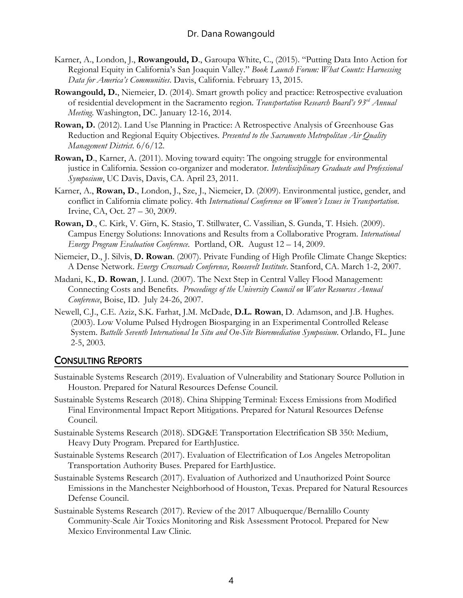- Karner, A., London, J., **Rowangould, D**., Garoupa White, C., (2015). "Putting Data Into Action for Regional Equity in California's San Joaquin Valley." *Book Launch Forum: What Counts: Harnessing Data for America's Communities*. Davis, California. February 13, 2015.
- **Rowangould, D.**, Niemeier, D. (2014). Smart growth policy and practice: Retrospective evaluation of residential development in the Sacramento region. *Transportation Research Board's 93rd Annual Meeting*. Washington, DC. January 12-16, 2014.
- **Rowan, D.** (2012). Land Use Planning in Practice: A Retrospective Analysis of Greenhouse Gas Reduction and Regional Equity Objectives. *Presented to the Sacramento Metropolitan Air Quality Management District*. 6/6/12.
- **Rowan, D**., Karner, A. (2011). Moving toward equity: The ongoing struggle for environmental justice in California. Session co-organizer and moderator. *Interdisciplinary Graduate and Professional Symposium*, UC Davis, Davis, CA. April 23, 2011.
- Karner, A., **Rowan, D.**, London, J., Sze, J., Niemeier, D. (2009). Environmental justice, gender, and conflict in California climate policy. 4th *International Conference on Women's Issues in Transportation*. Irvine, CA, Oct. 27 – 30, 2009.
- **Rowan, D**., C. Kirk, V. Girn, K. Stasio, T. Stillwater, C. Vassilian, S. Gunda, T. Hsieh. (2009). Campus Energy Solutions: Innovations and Results from a Collaborative Program. *International Energy Program Evaluation Conference*. Portland, OR. August 12 – 14, 2009.
- Niemeier, D., J. Silvis, **D. Rowan**. (2007). Private Funding of High Profile Climate Change Skeptics: A Dense Network. *Energy Crossroads Conference, Roosevelt Institute*. Stanford, CA. March 1-2, 2007.
- Madani, K., **D. Rowan**, J. Lund. (2007). The Next Step in Central Valley Flood Management: Connecting Costs and Benefits. *Proceedings of the University Council on Water Resources Annual Conference*, Boise, ID. July 24-26, 2007.
- Newell, C.J., C.E. Aziz, S.K. Farhat, J.M. McDade, **D.L. Rowan**, D. Adamson, and J.B. Hughes. (2003). Low Volume Pulsed Hydrogen Biosparging in an Experimental Controlled Release System. *Battelle Seventh International In Situ and On-Site Bioremediation Symposium*. Orlando, FL. June 2-5, 2003.

## CONSULTING REPORTS

- Sustainable Systems Research (2019). Evaluation of Vulnerability and Stationary Source Pollution in Houston. Prepared for Natural Resources Defense Council.
- Sustainable Systems Research (2018). China Shipping Terminal: Excess Emissions from Modified Final Environmental Impact Report Mitigations. Prepared for Natural Resources Defense Council.
- Sustainable Systems Research (2018). SDG&E Transportation Electrification SB 350: Medium, Heavy Duty Program. Prepared for EarthJustice.
- Sustainable Systems Research (2017). Evaluation of Electrification of Los Angeles Metropolitan Transportation Authority Buses. Prepared for EarthJustice.
- Sustainable Systems Research (2017). Evaluation of Authorized and Unauthorized Point Source Emissions in the Manchester Neighborhood of Houston, Texas. Prepared for Natural Resources Defense Council.
- Sustainable Systems Research (2017). Review of the 2017 Albuquerque/Bernalillo County Community-Scale Air Toxics Monitoring and Risk Assessment Protocol. Prepared for New Mexico Environmental Law Clinic.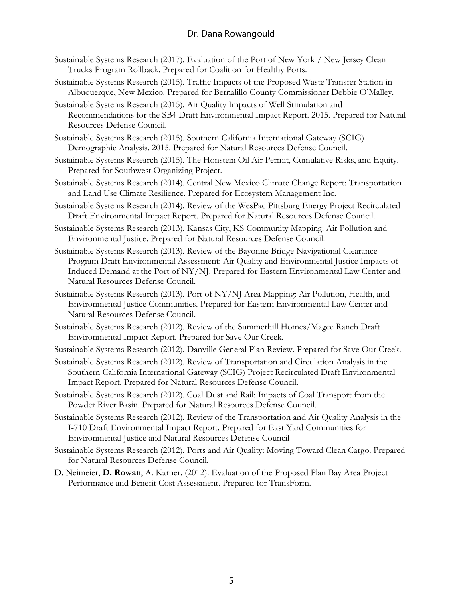## Dr. Dana Rowangould

- Sustainable Systems Research (2017). Evaluation of the Port of New York / New Jersey Clean Trucks Program Rollback. Prepared for Coalition for Healthy Ports.
- Sustainable Systems Research (2015). Traffic Impacts of the Proposed Waste Transfer Station in Albuquerque, New Mexico. Prepared for Bernalillo County Commissioner Debbie O'Malley.
- Sustainable Systems Research (2015). Air Quality Impacts of Well Stimulation and Recommendations for the SB4 Draft Environmental Impact Report. 2015. Prepared for Natural Resources Defense Council.
- Sustainable Systems Research (2015). Southern California International Gateway (SCIG) Demographic Analysis. 2015. Prepared for Natural Resources Defense Council.
- Sustainable Systems Research (2015). The Honstein Oil Air Permit, Cumulative Risks, and Equity. Prepared for Southwest Organizing Project.
- Sustainable Systems Research (2014). Central New Mexico Climate Change Report: Transportation and Land Use Climate Resilience. Prepared for Ecosystem Management Inc.
- Sustainable Systems Research (2014). Review of the WesPac Pittsburg Energy Project Recirculated Draft Environmental Impact Report. Prepared for Natural Resources Defense Council.
- Sustainable Systems Research (2013). Kansas City, KS Community Mapping: Air Pollution and Environmental Justice. Prepared for Natural Resources Defense Council.
- Sustainable Systems Research (2013). Review of the Bayonne Bridge Navigational Clearance Program Draft Environmental Assessment: Air Quality and Environmental Justice Impacts of Induced Demand at the Port of NY/NJ. Prepared for Eastern Environmental Law Center and Natural Resources Defense Council.
- Sustainable Systems Research (2013). Port of NY/NJ Area Mapping: Air Pollution, Health, and Environmental Justice Communities. Prepared for Eastern Environmental Law Center and Natural Resources Defense Council.
- Sustainable Systems Research (2012). Review of the Summerhill Homes/Magee Ranch Draft Environmental Impact Report. Prepared for Save Our Creek.
- Sustainable Systems Research (2012). Danville General Plan Review. Prepared for Save Our Creek.
- Sustainable Systems Research (2012). Review of Transportation and Circulation Analysis in the Southern California International Gateway (SCIG) Project Recirculated Draft Environmental Impact Report. Prepared for Natural Resources Defense Council.
- Sustainable Systems Research (2012). Coal Dust and Rail: Impacts of Coal Transport from the Powder River Basin. Prepared for Natural Resources Defense Council.
- Sustainable Systems Research (2012). Review of the Transportation and Air Quality Analysis in the I-710 Draft Environmental Impact Report. Prepared for East Yard Communities for Environmental Justice and Natural Resources Defense Council
- Sustainable Systems Research (2012). Ports and Air Quality: Moving Toward Clean Cargo. Prepared for Natural Resources Defense Council.
- D. Neimeier, **D. Rowan**, A. Karner. (2012). Evaluation of the Proposed Plan Bay Area Project Performance and Benefit Cost Assessment. Prepared for TransForm.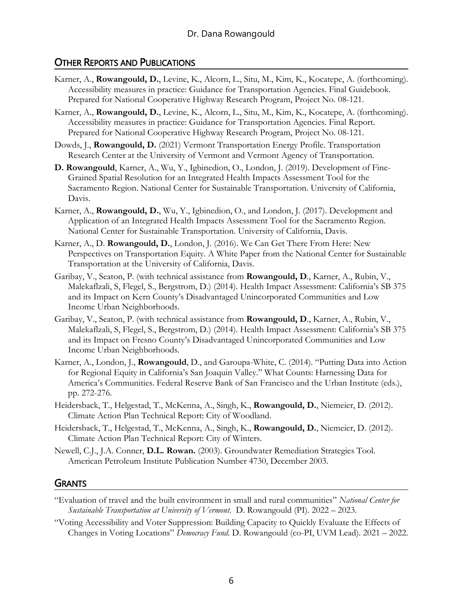# OTHER REPORTS AND PUBLICATIONS

- Karner, A., **Rowangould, D.**, Levine, K., Alcorn, L., Situ, M., Kim, K., Kocatepe, A. (forthcoming). Accessibility measures in practice: Guidance for Transportation Agencies. Final Guidebook. Prepared for National Cooperative Highway Research Program, Project No. 08-121.
- Karner, A., **Rowangould, D.**, Levine, K., Alcorn, L., Situ, M., Kim, K., Kocatepe, A. (forthcoming). Accessibility measures in practice: Guidance for Transportation Agencies. Final Report. Prepared for National Cooperative Highway Research Program, Project No. 08-121.
- Dowds, J., **Rowangould, D.** (2021) Vermont Transportation Energy Profile. Transportation Research Center at the University of Vermont and Vermont Agency of Transportation.
- **D. Rowangould**, Karner, A., Wu, Y., Igbinedion, O., London, J. (2019). Development of Fine-Grained Spatial Resolution for an Integrated Health Impacts Assessment Tool for the Sacramento Region. National Center for Sustainable Transportation. University of California, Davis.
- Karner, A., **Rowangould, D.**, Wu, Y., Igbinedion, O., and London, J. (2017). Development and Application of an Integrated Health Impacts Assessment Tool for the Sacramento Region. National Center for Sustainable Transportation. University of California, Davis.
- Karner, A., D. **Rowangould, D.**, London, J. (2016). We Can Get There From Here: New Perspectives on Transportation Equity. A White Paper from the National Center for Sustainable Transportation at the University of California, Davis.
- Garibay, V., Seaton, P. (with technical assistance from **Rowangould, D**., Karner, A., Rubin, V., Malekaflzali, S, Flegel, S., Bergstrom, D.) (2014). Health Impact Assessment: California's SB 375 and its Impact on Kern County's Disadvantaged Unincorporated Communities and Low Income Urban Neighborhoods.
- Garibay, V., Seaton, P. (with technical assistance from **Rowangould, D**., Karner, A., Rubin, V., Malekaflzali, S, Flegel, S., Bergstrom, D.) (2014). Health Impact Assessment: California's SB 375 and its Impact on Fresno County's Disadvantaged Unincorporated Communities and Low Income Urban Neighborhoods.
- Karner, A., London, J., **Rowangould**, D., and Garoupa-White, C. (2014). "Putting Data into Action for Regional Equity in California's San Joaquin Valley." What Counts: Harnessing Data for America's Communities. Federal Reserve Bank of San Francisco and the Urban Institute (eds.), pp. 272-276.
- Heidersback, T., Helgestad, T., McKenna, A., Singh, K., **Rowangould, D.**, Niemeier, D. (2012). Climate Action Plan Technical Report: City of Woodland.
- Heidersback, T., Helgestad, T., McKenna, A., Singh, K., **Rowangould, D.**, Niemeier, D. (2012). Climate Action Plan Technical Report: City of Winters.
- Newell, C.J., J.A. Conner, **D.L. Rowan.** (2003). Groundwater Remediation Strategies Tool. American Petroleum Institute Publication Number 4730, December 2003.

## **GRANTS**

- "Evaluation of travel and the built environment in small and rural communities" *National Center for Sustainable Transportation at University of Vermont*. D. Rowangould (PI). 2022 – 2023.
- "Voting Accessibility and Voter Suppression: Building Capacity to Quickly Evaluate the Effects of Changes in Voting Locations" *Democracy Fund*. D. Rowangould (co-PI, UVM Lead). 2021 – 2022.